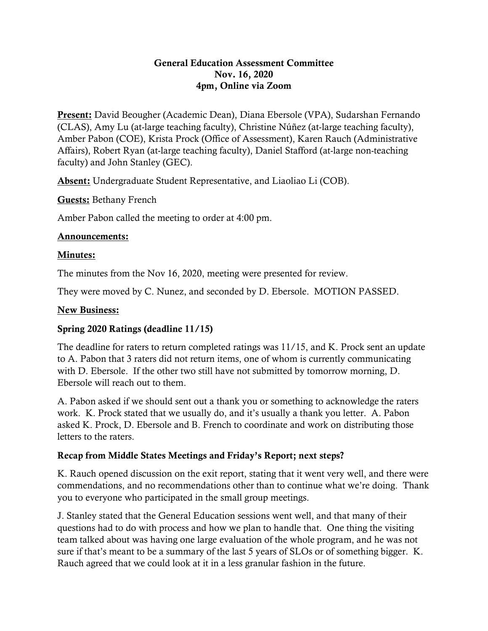#### General Education Assessment Committee Nov. 16, 2020 4pm, Online via Zoom

Present: David Beougher (Academic Dean), Diana Ebersole (VPA), Sudarshan Fernando (CLAS), Amy Lu (at-large teaching faculty), Christine Núñez (at-large teaching faculty), Amber Pabon (COE), Krista Prock (Office of Assessment), Karen Rauch (Administrative Affairs), Robert Ryan (at-large teaching faculty), Daniel Stafford (at-large non-teaching faculty) and John Stanley (GEC).

Absent: Undergraduate Student Representative, and Liaoliao Li (COB).

Guests: Bethany French

Amber Pabon called the meeting to order at 4:00 pm.

## Announcements:

## Minutes:

The minutes from the Nov 16, 2020, meeting were presented for review.

They were moved by C. Nunez, and seconded by D. Ebersole. MOTION PASSED.

### New Business:

### Spring 2020 Ratings (deadline 11/15)

The deadline for raters to return completed ratings was 11/15, and K. Prock sent an update to A. Pabon that 3 raters did not return items, one of whom is currently communicating with D. Ebersole. If the other two still have not submitted by tomorrow morning, D. Ebersole will reach out to them.

A. Pabon asked if we should sent out a thank you or something to acknowledge the raters work. K. Prock stated that we usually do, and it's usually a thank you letter. A. Pabon asked K. Prock, D. Ebersole and B. French to coordinate and work on distributing those letters to the raters.

# Recap from Middle States Meetings and Friday's Report; next steps?

K. Rauch opened discussion on the exit report, stating that it went very well, and there were commendations, and no recommendations other than to continue what we're doing. Thank you to everyone who participated in the small group meetings.

J. Stanley stated that the General Education sessions went well, and that many of their questions had to do with process and how we plan to handle that. One thing the visiting team talked about was having one large evaluation of the whole program, and he was not sure if that's meant to be a summary of the last 5 years of SLOs or of something bigger. K. Rauch agreed that we could look at it in a less granular fashion in the future.